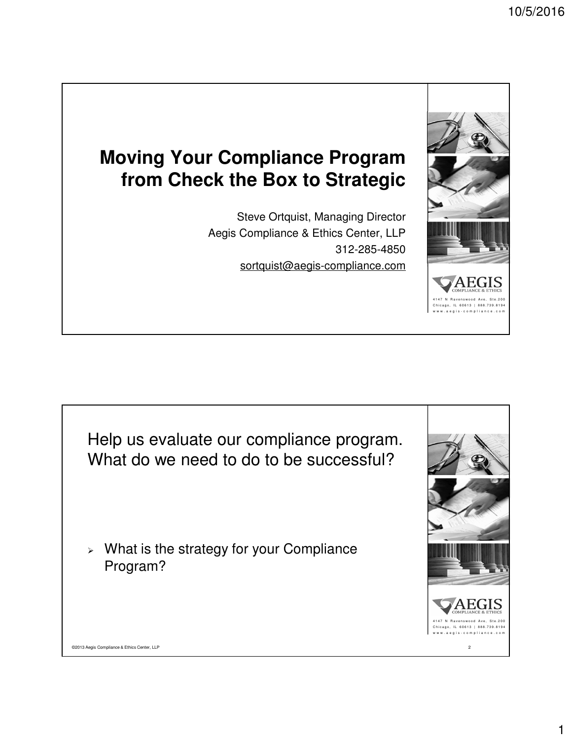# **Moving Your Compliance Program from Check the Box to Strategic**

Steve Ortquist, Managing Director Aegis Compliance & Ethics Center, LLP 312-285-4850 sortquist@aegis-compliance.com



Help us evaluate our compliance program. What do we need to do to be successful?

 $>$  What is the strategy for your Compliance Program?

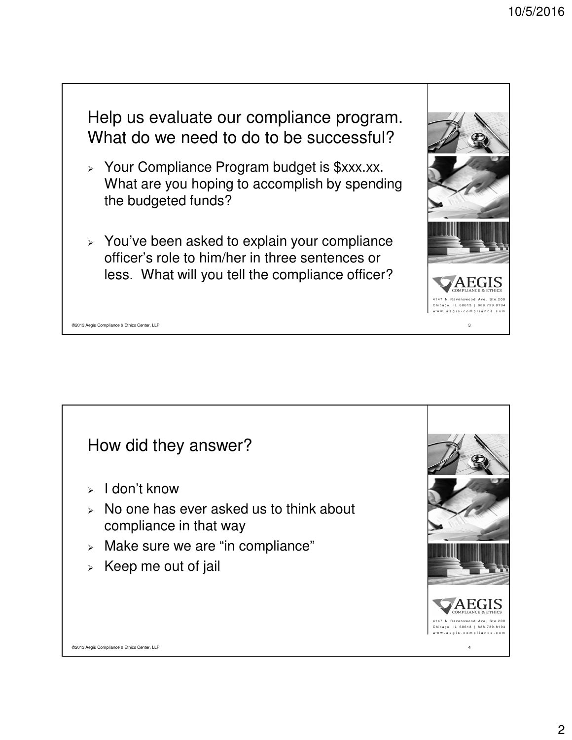

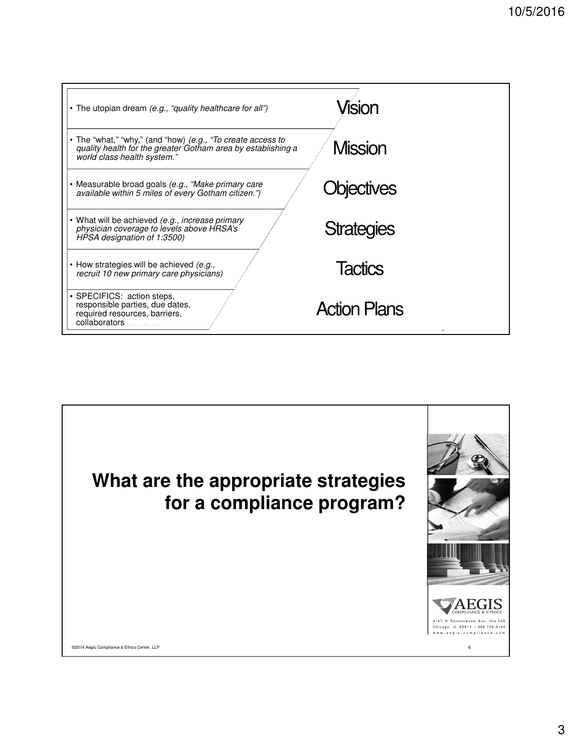| • The utopian dream (e.g., "quality healthcare for all")                                                                                                   | Vision              |
|------------------------------------------------------------------------------------------------------------------------------------------------------------|---------------------|
| • The "what," "why," (and "how) (e.g., "To create access to<br>quality health for the greater Gotham area by establishing a<br>world class health system." | <b>Mission</b>      |
| • Measurable broad goals (e.g., "Make primary care<br>available within 5 miles of every Gotham citizen.")                                                  | Objectives          |
| • What will be achieved (e.g., increase primary<br>physician coverage to levels above HRSA's<br>HPSA designation of 1:3500)                                | <b>Strategies</b>   |
| $\cdot$ How strategies will be achieved (e.g.,<br>recruit 10 new primary care physicians)                                                                  | <b>Tactics</b>      |
| • SPECIFICS: action steps,<br>responsible parties, due dates,<br>required resources, barriers,<br>collaborators                                            | <b>Action Plans</b> |

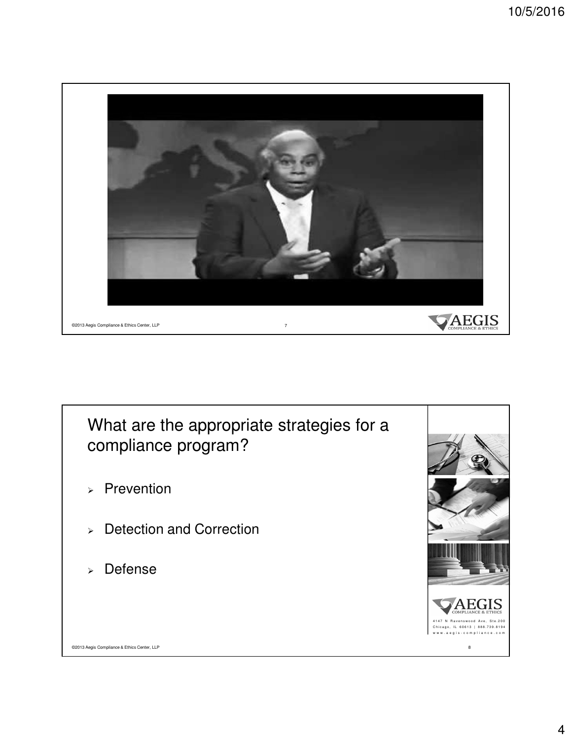

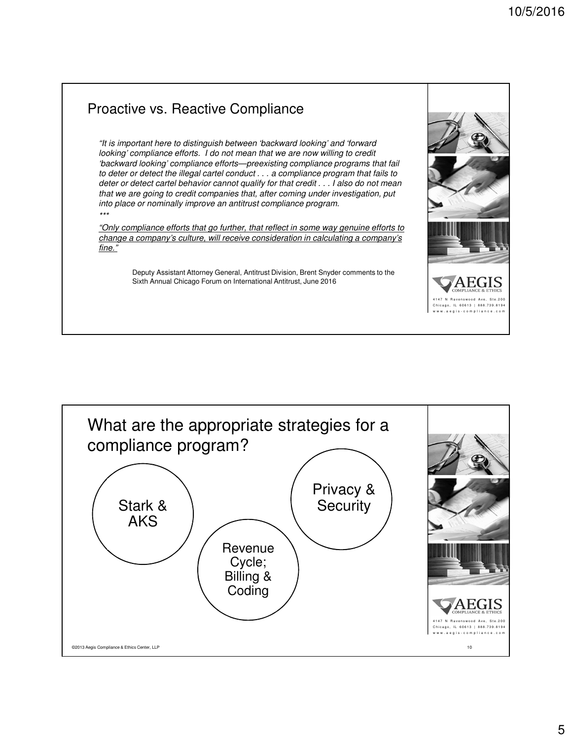w w w . a e g i s - c o m p l i a n c e . c o m

#### 4147 N Ravenswood Ave, Ste.200 Chicago, IL 60613 | 888.739.8194 Proactive vs. Reactive Compliance "It is important here to distinguish between 'backward looking' and 'forward looking' compliance efforts. I do not mean that we are now willing to credit 'backward looking' compliance efforts—preexisting compliance programs that fail to deter or detect the illegal cartel conduct . . . a compliance program that fails to deter or detect cartel behavior cannot qualify for that credit . . . I also do not mean that we are going to credit companies that, after coming under investigation, put into place or nominally improve an antitrust compliance program. \*\*\* "Only compliance efforts that go further, that reflect in some way genuine efforts to change a company's culture, will receive consideration in calculating a company's fine." Deputy Assistant Attorney General, Antitrust Division, Brent Snyder comments to the Sixth Annual Chicago Forum on International Antitrust, June 2016

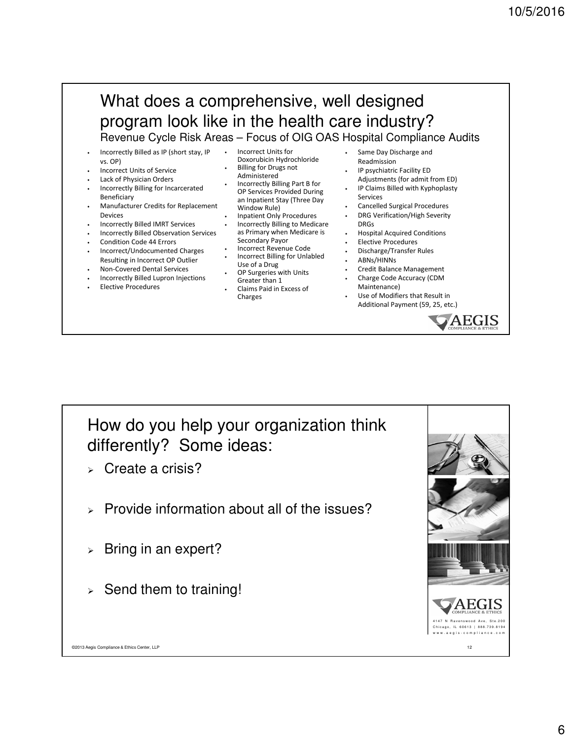### What does a comprehensive, well designed program look like in the health care industry? Revenue Cycle Risk Areas – Focus of OIG OAS Hospital Compliance Audits

- Incorrectly Billed as IP (short stay, IP vs. OP)
- Incorrect Units of Service
- Lack of Physician Orders
- Incorrectly Billing for Incarcerated Beneficiary
- Manufacturer Credits for Replacement Devices
- Incorrectly Billed IMRT Services
- Incorrectly Billed Observation Services
- Condition Code 44 Errors
- Incorrect/Undocumented Charges Resulting in Incorrect OP Outlier
- Non-Covered Dental Services
- Incorrectly Billed Lupron Injections
- Elective Procedures
- Incorrect Units for Doxorubicin Hydrochloride **Billing for Drugs not** Administered
- Incorrectly Billing Part B for OP Services Provided During an Inpatient Stay (Three Day Window Rule)
- Inpatient Only Procedures
- Incorrectly Billing to Medicare as Primary when Medicare is Secondary Payor
- Incorrect Revenue Code • Incorrect Billing for Unlabled
- Use of a Drug OP Surgeries with Units
- Greater than 1 • Claims Paid in Excess of

**Charges** 

- Same Day Discharge and Readmission
- IP psychiatric Facility ED Adjustments (for admit from ED)
- IP Claims Billed with Kyphoplasty Services
- Cancelled Surgical Procedures
- DRG Verification/High Severity DRGs
- Hospital Acquired Conditions
- Elective Procedures
- Discharge/Transfer Rules
- ABNs/HINNs
- Credit Balance Management
- Charge Code Accuracy (CDM Maintenance)
- Use of Modifiers that Result in Additional Payment (59, 25, etc.)





- Create a crisis?
- Provide information about all of the issues?
- $\triangleright$  Bring in an expert?
- $\ge$  Send them to training!

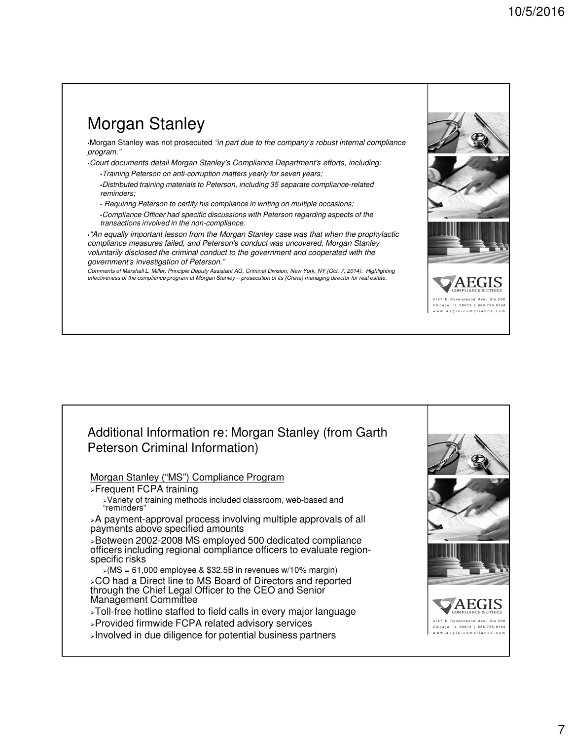## Morgan Stanley

-Morgan Stanley was not prosecuted "in part due to the company's robust internal compliance program."

-Court documents detail Morgan Stanley's Compliance Department's efforts, including:

-Training Peterson on anti-corruption matters yearly for seven years;

-Distributed training materials to Peterson, including 35 separate compliance-related reminders;

- Requiring Peterson to certify his compliance in writing on multiple occasions;

-Compliance Officer had specific discussions with Peterson regarding aspects of the transactions involved in the non-compliance.

-"An equally important lesson from the Morgan Stanley case was that when the prophylactic compliance measures failed, and Peterson's conduct was uncovered, Morgan Stanley voluntarily disclosed the criminal conduct to the government and cooperated with the government's investigation of Peterson."

Comments of Marshall L. Miller, Principle Deputy Assistant AG, Criminal Division, New York, NY (Oct. 7, 2014). Highlighting effectiveness of the compliance program at Morgan Stanley – prosecution of its (China) managing director for real estate.





4147 N Ravenswood Ave, Ste.200 IL 60613 | 888.739.8194 w w w . a e g i s - c o m p l i a n c e . c o m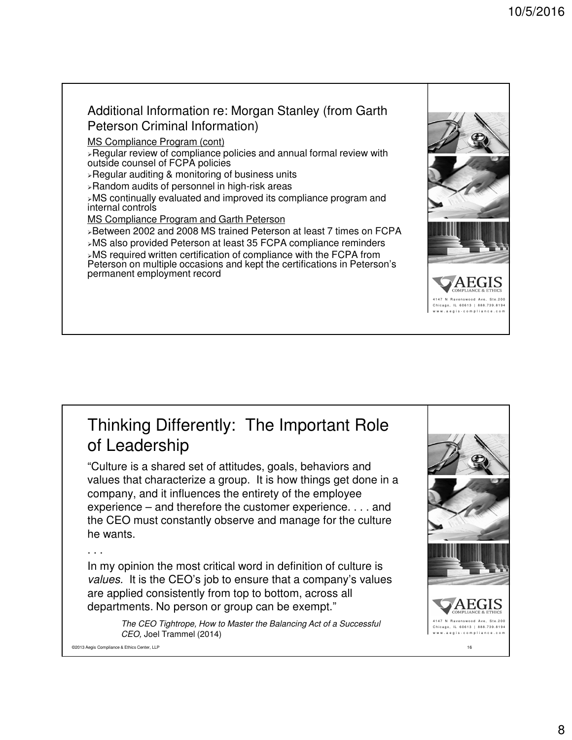#### Additional Information re: Morgan Stanley (from Garth Peterson Criminal Information)

MS Compliance Program (cont)

Regular review of compliance policies and annual formal review with outside counsel of FCPA policies

Regular auditing & monitoring of business units

Random audits of personnel in high-risk areas

MS continually evaluated and improved its compliance program and internal controls

MS Compliance Program and Garth Peterson

Between 2002 and 2008 MS trained Peterson at least 7 times on FCPA MS also provided Peterson at least 35 FCPA compliance reminders

MS required written certification of compliance with the FCPA from Peterson on multiple occasions and kept the certifications in Peterson's permanent employment record

## Thinking Differently: The Important Role of Leadership

"Culture is a shared set of attitudes, goals, behaviors and values that characterize a group. It is how things get done in a company, and it influences the entirety of the employee experience – and therefore the customer experience. . . . and the CEO must constantly observe and manage for the culture he wants.

#### . . .

In my opinion the most critical word in definition of culture is values. It is the CEO's job to ensure that a company's values are applied consistently from top to bottom, across all departments. No person or group can be exempt."

> The CEO Tightrope, How to Master the Balancing Act of a Successful CEO, Joel Trammel (2014)



4147 N Ravenswood Ave, Ste.200 IL 60613 | 888.739.8194 w w w . a e g i s - c o m p l i a n c e . c o m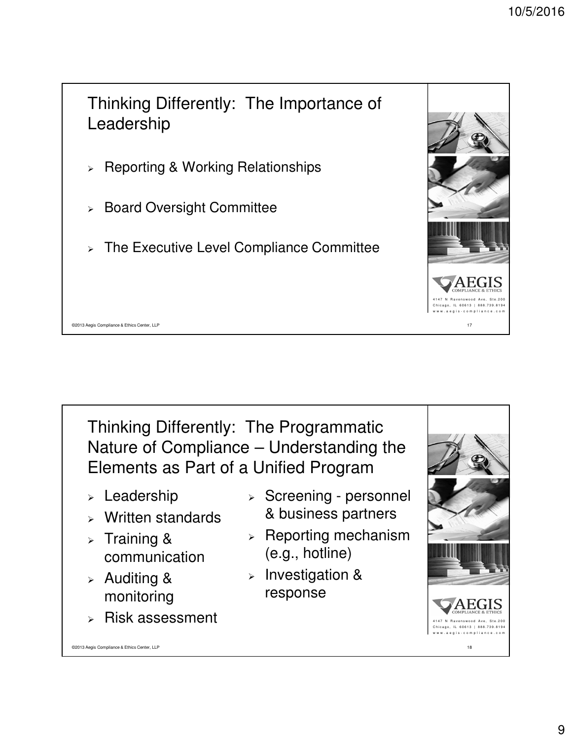

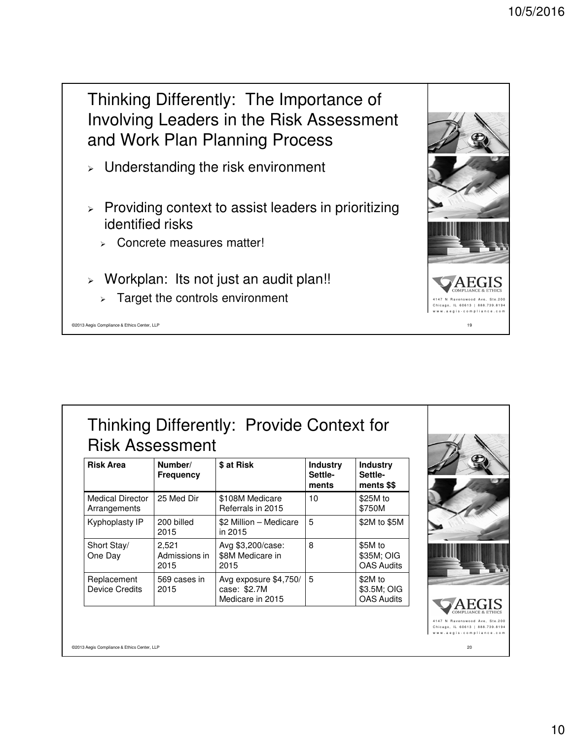Thinking Differently: The Importance of Involving Leaders in the Risk Assessment and Work Plan Planning Process

- Understanding the risk environment
- $\triangleright$  Providing context to assist leaders in prioritizing identified risks
	- **EXECONCRETE MEASURES Matter!**
- Workplan: Its not just an audit plan!!
	- $\geq$  Target the controls environment

©2013 Aegis Compliance & Ethics Center, LLP 19

| Thinking Differently: Provide Context for<br><b>Risk Assessment</b> |                  |                      |            |  |                              |                                                                                |  |  |
|---------------------------------------------------------------------|------------------|----------------------|------------|--|------------------------------|--------------------------------------------------------------------------------|--|--|
|                                                                     | <b>Risk Area</b> | Number/<br>Frequency | \$ at Risk |  | Industry<br>Settle-<br>ments | Industry<br>Settle-<br>$\overline{\phantom{a}}$ mante $\overline{\phantom{a}}$ |  |  |

| nish Alca                               | NUIIIVCI/<br><b>Frequency</b>  | o al Nisr                                                 | iliuusu y<br>Settle-<br>ments | muusu y<br>Settle-<br>ments \$\$            |
|-----------------------------------------|--------------------------------|-----------------------------------------------------------|-------------------------------|---------------------------------------------|
| <b>Medical Director</b><br>Arrangements | 25 Med Dir                     | \$108M Medicare<br>Referrals in 2015                      | 10                            | \$25M to<br>\$750M                          |
| Kyphoplasty IP                          | 200 billed<br>2015             | \$2 Million - Medicare<br>in 2015                         | 5                             | \$2M to \$5M                                |
| Short Stay/<br>One Day                  | 2,521<br>Admissions in<br>2015 | Avg \$3,200/case:<br>\$8M Medicare in<br>2015             | 8                             | \$5M to<br>\$35M; OIG<br><b>OAS Audits</b>  |
| Replacement<br><b>Device Credits</b>    | 569 cases in<br>2015           | Avg exposure \$4,750/<br>case: \$2.7M<br>Medicare in 2015 | 5                             | \$2M to<br>\$3.5M; OIG<br><b>OAS Audits</b> |



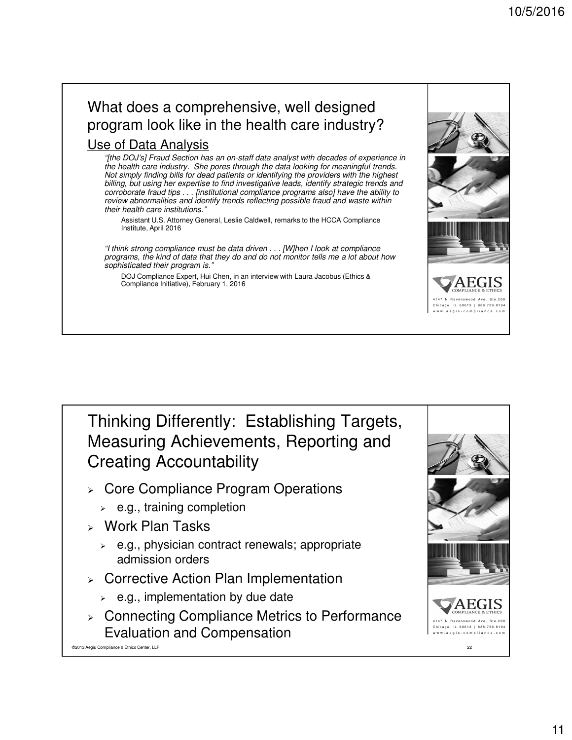### What does a comprehensive, well designed program look like in the health care industry? Use of Data Analysis

"[the DOJ's] Fraud Section has an on-staff data analyst with decades of experience in the health care industry. She pores through the data looking for meaningful trends. Not simply finding bills for dead patients or identifying the providers with the highest billing, but using her expertise to find investigative leads, identify strategic trends and corroborate fraud tips . . . [institutional compliance programs also] have the ability to review abnormalities and identify trends reflecting possible fraud and waste within their health care institutions."

Assistant U.S. Attorney General, Leslie Caldwell, remarks to the HCCA Compliance Institute, April 2016

"I think strong compliance must be data driven . . . [W]hen I look at compliance programs, the kind of data that they do and do not monitor tells me a lot about how sophisticated their program is.'

DOJ Compliance Expert, Hui Chen, in an interview with Laura Jacobus (Ethics & Compliance Initiative), February 1, 2016



- **EXECO Compliance Program Operations** 
	- $\geq$  e.g., training completion
- Work Plan Tasks
	- $\ge$  e.g., physician contract renewals; appropriate admission orders
- $\triangleright$  Corrective Action Plan Implementation
	- $\geq$  e.g., implementation by due date
- **▶ Connecting Compliance Metrics to Performance** Evaluation and Compensation

©2013 Aegis Compliance & Ethics Center, LLP 22



4147 N Ravenswood Ave, Ste.200 Chicago, IL 60613 | 888.739.8194 w w w . a e g i s - c o m p l i a n c e . c o m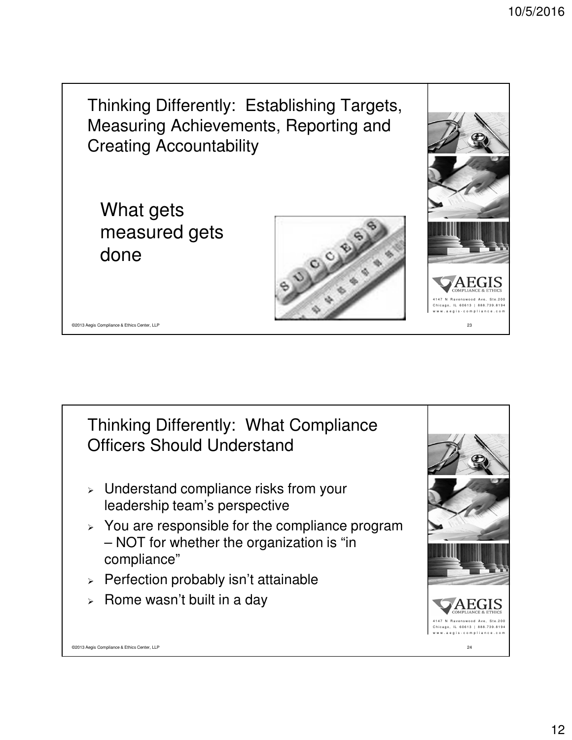